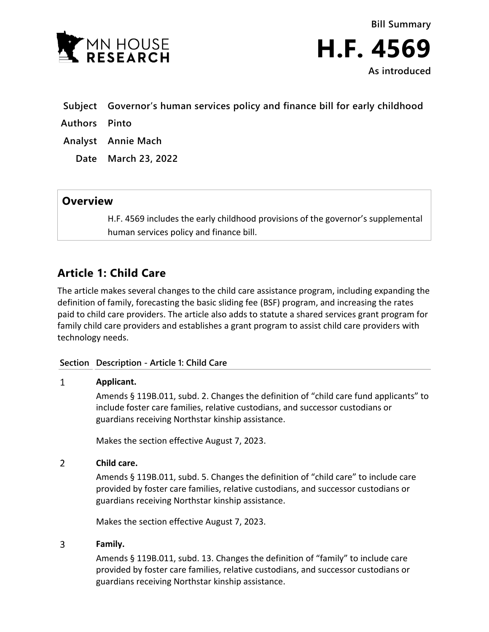

**Bill Summary H.F. 4569 As introduced**

- **Subject Governor's human services policy and finance bill for early childhood**
- **Authors Pinto**
- **Analyst Annie Mach**
	- **Date March 23, 2022**

## **Overview**

H.F. 4569 includes the early childhood provisions of the governor's supplemental human services policy and finance bill.

## **Article 1: Child Care**

The article makes several changes to the child care assistance program, including expanding the definition of family, forecasting the basic sliding fee (BSF) program, and increasing the rates paid to child care providers. The article also adds to statute a shared services grant program for family child care providers and establishes a grant program to assist child care providers with technology needs.

### **Section Description - Article 1: Child Care**

#### $\mathbf{1}$ **Applicant.**

Amends § 119B.011, subd. 2. Changes the definition of "child care fund applicants" to include foster care families, relative custodians, and successor custodians or guardians receiving Northstar kinship assistance.

Makes the section effective August 7, 2023.

#### $\overline{2}$ **Child care.**

Amends § 119B.011, subd. 5. Changes the definition of "child care" to include care provided by foster care families, relative custodians, and successor custodians or guardians receiving Northstar kinship assistance.

Makes the section effective August 7, 2023.

#### 3 **Family.**

Amends § 119B.011, subd. 13. Changes the definition of "family" to include care provided by foster care families, relative custodians, and successor custodians or guardians receiving Northstar kinship assistance.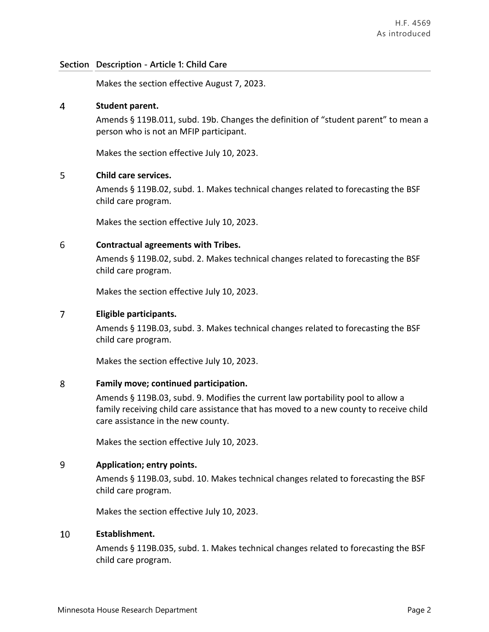Makes the section effective August 7, 2023.

#### $\overline{4}$ **Student parent.**

Amends § 119B.011, subd. 19b. Changes the definition of "student parent" to mean a person who is not an MFIP participant.

Makes the section effective July 10, 2023.

#### 5 **Child care services.**

Amends § 119B.02, subd. 1. Makes technical changes related to forecasting the BSF child care program.

Makes the section effective July 10, 2023.

#### 6 **Contractual agreements with Tribes.**

Amends § 119B.02, subd. 2. Makes technical changes related to forecasting the BSF child care program.

Makes the section effective July 10, 2023.

#### $\overline{7}$ **Eligible participants.**

Amends § 119B.03, subd. 3. Makes technical changes related to forecasting the BSF child care program.

Makes the section effective July 10, 2023.

#### 8 **Family move; continued participation.**

Amends § 119B.03, subd. 9. Modifies the current law portability pool to allow a family receiving child care assistance that has moved to a new county to receive child care assistance in the new county.

Makes the section effective July 10, 2023.

#### $\overline{9}$ **Application; entry points.**

Amends § 119B.03, subd. 10. Makes technical changes related to forecasting the BSF child care program.

Makes the section effective July 10, 2023.

#### 10 **Establishment.**

Amends § 119B.035, subd. 1. Makes technical changes related to forecasting the BSF child care program.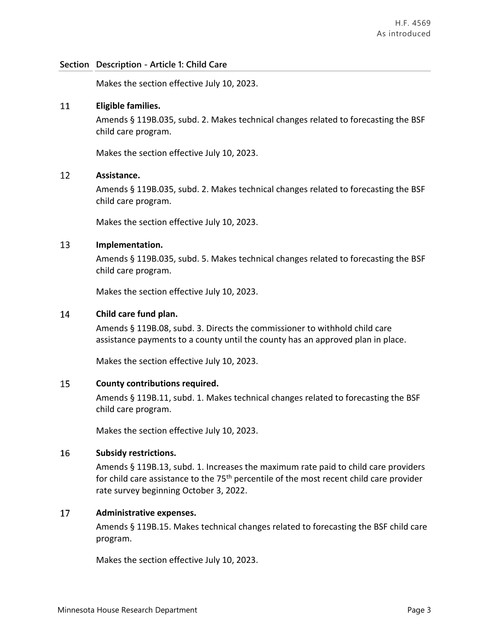Makes the section effective July 10, 2023.

#### 11 **Eligible families.**

Amends § 119B.035, subd. 2. Makes technical changes related to forecasting the BSF child care program.

Makes the section effective July 10, 2023.

#### 12 **Assistance.**

Amends § 119B.035, subd. 2. Makes technical changes related to forecasting the BSF child care program.

Makes the section effective July 10, 2023.

#### 13 **Implementation.**

Amends § 119B.035, subd. 5. Makes technical changes related to forecasting the BSF child care program.

Makes the section effective July 10, 2023.

#### **Child care fund plan.** 14

Amends § 119B.08, subd. 3. Directs the commissioner to withhold child care assistance payments to a county until the county has an approved plan in place.

Makes the section effective July 10, 2023.

#### 15 **County contributions required.**

Amends § 119B.11, subd. 1. Makes technical changes related to forecasting the BSF child care program.

Makes the section effective July 10, 2023.

#### 16 **Subsidy restrictions.**

Amends § 119B.13, subd. 1. Increases the maximum rate paid to child care providers for child care assistance to the 75<sup>th</sup> percentile of the most recent child care provider rate survey beginning October 3, 2022.

#### 17 **Administrative expenses.**

Amends § 119B.15. Makes technical changes related to forecasting the BSF child care program.

Makes the section effective July 10, 2023.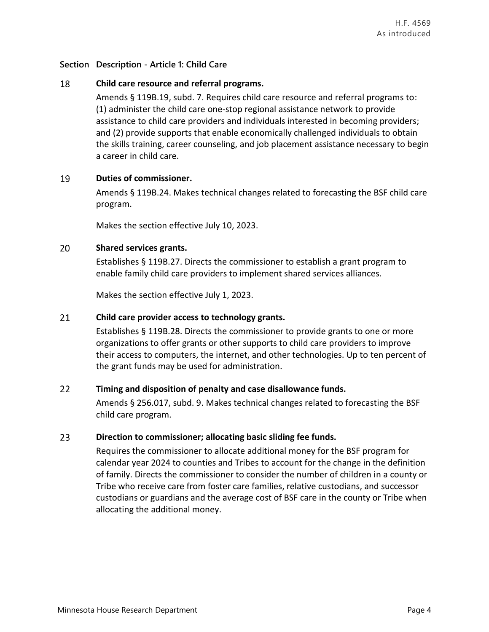#### 18 **Child care resource and referral programs.**

Amends § 119B.19, subd. 7. Requires child care resource and referral programs to: (1) administer the child care one-stop regional assistance network to provide assistance to child care providers and individuals interested in becoming providers; and (2) provide supports that enable economically challenged individuals to obtain the skills training, career counseling, and job placement assistance necessary to begin a career in child care.

#### 19 **Duties of commissioner.**

Amends § 119B.24. Makes technical changes related to forecasting the BSF child care program.

Makes the section effective July 10, 2023.

#### 20 **Shared services grants.**

Establishes § 119B.27. Directs the commissioner to establish a grant program to enable family child care providers to implement shared services alliances.

Makes the section effective July 1, 2023.

#### 21 **Child care provider access to technology grants.**

Establishes § 119B.28. Directs the commissioner to provide grants to one or more organizations to offer grants or other supports to child care providers to improve their access to computers, the internet, and other technologies. Up to ten percent of the grant funds may be used for administration.

#### 22 **Timing and disposition of penalty and case disallowance funds.**

Amends § 256.017, subd. 9. Makes technical changes related to forecasting the BSF child care program.

#### 23 **Direction to commissioner; allocating basic sliding fee funds.**

Requires the commissioner to allocate additional money for the BSF program for calendar year 2024 to counties and Tribes to account for the change in the definition of family. Directs the commissioner to consider the number of children in a county or Tribe who receive care from foster care families, relative custodians, and successor custodians or guardians and the average cost of BSF care in the county or Tribe when allocating the additional money.